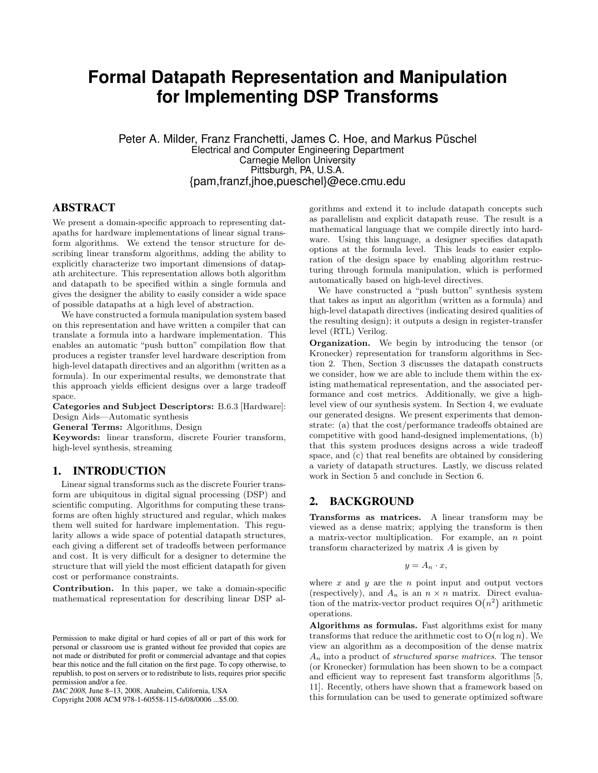# **Formal Datapath Representation and Manipulation for Implementing DSP Transforms**

Peter A. Milder, Franz Franchetti, James C. Hoe, and Markus Püschel Electrical and Computer Engineering Department Carnegie Mellon University Pittsburgh, PA, U.S.A. {pam,franzf,jhoe,pueschel}@ece.cmu.edu

## **ABSTRACT**

We present a domain-specific approach to representing datapaths for hardware implementations of linear signal transform algorithms. We extend the tensor structure for describing linear transform algorithms, adding the ability to explicitly characterize two important dimensions of datapath architecture. This representation allows both algorithm and datapath to be specified within a single formula and gives the designer the ability to easily consider a wide space of possible datapaths at a high level of abstraction.

We have constructed a formula manipulation system based on this representation and have written a compiler that can translate a formula into a hardware implementation. This enables an automatic "push button" compilation flow that produces a register transfer level hardware description from high-level datapath directives and an algorithm (written as a formula). In our experimental results, we demonstrate that this approach yields efficient designs over a large tradeoff space.

Categories and Subject Descriptors: B.6.3 [Hardware]: Design Aids—Automatic synthesis

General Terms: Algorithms, Design

Keywords: linear transform, discrete Fourier transform, high-level synthesis, streaming

## **1. INTRODUCTION**

Linear signal transforms such as the discrete Fourier transform are ubiquitous in digital signal processing (DSP) and scientific computing. Algorithms for computing these transforms are often highly structured and regular, which makes them well suited for hardware implementation. This regularity allows a wide space of potential datapath structures, each giving a different set of tradeoffs between performance and cost. It is very difficult for a designer to determine the structure that will yield the most efficient datapath for given cost or performance constraints.

Contribution. In this paper, we take a domain-specific mathematical representation for describing linear DSP al-

Copyright 2008 ACM 978-1-60558-115-6/08/0006 ...\$5.00.

gorithms and extend it to include datapath concepts such as parallelism and explicit datapath reuse. The result is a mathematical language that we compile directly into hardware. Using this language, a designer specifies datapath options at the formula level. This leads to easier exploration of the design space by enabling algorithm restructuring through formula manipulation, which is performed automatically based on high-level directives.

We have constructed a "push button" synthesis system that takes as input an algorithm (written as a formula) and high-level datapath directives (indicating desired qualities of the resulting design); it outputs a design in register-transfer level (RTL) Verilog.

Organization. We begin by introducing the tensor (or Kronecker) representation for transform algorithms in Section 2. Then, Section 3 discusses the datapath constructs we consider, how we are able to include them within the existing mathematical representation, and the associated performance and cost metrics. Additionally, we give a highlevel view of our synthesis system. In Section 4, we evaluate our generated designs. We present experiments that demonstrate: (a) that the cost/performance tradeoffs obtained are competitive with good hand-designed implementations, (b) that this system produces designs across a wide tradeoff space, and (c) that real benefits are obtained by considering a variety of datapath structures. Lastly, we discuss related work in Section 5 and conclude in Section 6.

# **2. BACKGROUND**

Transforms as matrices. A linear transform may be viewed as a dense matrix; applying the transform is then a matrix-vector multiplication. For example, an  $n$  point transform characterized by matrix A is given by

$$
y = A_n \cdot x,
$$

where  $x$  and  $y$  are the  $n$  point input and output vectors (respectively), and  $A_n$  is an  $n \times n$  matrix. Direct evaluation of the matrix-vector product requires  $O(n^2)$  arithmetic operations.

Algorithms as formulas. Fast algorithms exist for many transforms that reduce the arithmetic cost to  $O(n \log n)$ . We view an algorithm as a decomposition of the dense matrix  $A_n$  into a product of *structured sparse matrices*. The tensor (or Kronecker) formulation has been shown to be a compact and efficient way to represent fast transform algorithms [5, 11]. Recently, others have shown that a framework based on this formulation can be used to generate optimized software

Permission to make digital or hard copies of all or part of this work for personal or classroom use is granted without fee provided that copies are not made or distributed for profit or commercial advantage and that copies bear this notice and the full citation on the first page. To copy otherwise, to republish, to post on servers or to redistribute to lists, requires prior specific permission and/or a fee.

*DAC 2008,* June 8–13, 2008, Anaheim, California, USA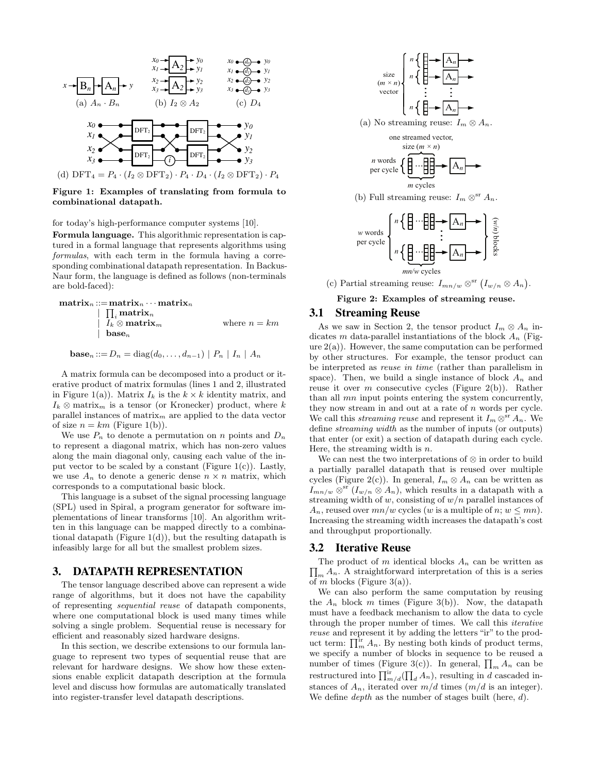

Figure 1: Examples of translating from formula to combinational datapath.

#### for today's high-performance computer systems [10].

Formula language. This algorithmic representation is captured in a formal language that represents algorithms using formulas, with each term in the formula having a corresponding combinational datapath representation. In Backus-Naur form, the language is defined as follows (non-terminals are bold-faced):

$$
\begin{array}{ll}\n\textbf{matrix}_n ::= \textbf{matrix}_n \cdots \textbf{matrix}_n \\
\mid \prod_i \textbf{matrix}_n \\
\mid \quad I_k \otimes \textbf{matrix}_m \\
\mid \quad \textbf{base}_n\n\end{array}\n\quad \text{where } n = km
$$

**base**<sub>n</sub> ::=  $D_n = \text{diag}(d_0, ..., d_{n-1}) | P_n | I_n | A_n$ 

A matrix formula can be decomposed into a product or iterative product of matrix formulas (lines 1 and 2, illustrated in Figure 1(a)). Matrix  $I_k$  is the  $k \times k$  identity matrix, and  $I_k \otimes$  matrix<sub>m</sub> is a tensor (or Kronecker) product, where k parallel instances of matrix<sub>m</sub> are applied to the data vector of size  $n = km$  (Figure 1(b)).

We use  $P_n$  to denote a permutation on n points and  $D_n$ to represent a diagonal matrix, which has non-zero values along the main diagonal only, causing each value of the input vector to be scaled by a constant (Figure  $1(c)$ ). Lastly, we use  $A_n$  to denote a generic dense  $n \times n$  matrix, which corresponds to a computational basic block.

This language is a subset of the signal processing language (SPL) used in Spiral, a program generator for software implementations of linear transforms [10]. An algorithm written in this language can be mapped directly to a combinational datapath (Figure  $1(d)$ ), but the resulting datapath is infeasibly large for all but the smallest problem sizes.

# **3. DATAPATH REPRESENTATION**

The tensor language described above can represent a wide range of algorithms, but it does not have the capability of representing sequential reuse of datapath components, where one computational block is used many times while solving a single problem. Sequential reuse is necessary for efficient and reasonably sized hardware designs.

In this section, we describe extensions to our formula language to represent two types of sequential reuse that are relevant for hardware designs. We show how these extensions enable explicit datapath description at the formula level and discuss how formulas are automatically translated into register-transfer level datapath descriptions.



(c) Partial streaming reuse:  $I_{mn/w} \otimes^{\text{sr}} (I_{w/n} \otimes A_n)$ .

*mn/w* cycles

Figure 2: Examples of streaming reuse.

#### **3.1 Streaming Reuse**

As we saw in Section 2, the tensor product  $I_m \otimes A_n$  indicates m data-parallel instantiations of the block  $A_n$  (Fig $ure 2(a)$ ). However, the same computation can be performed by other structures. For example, the tensor product can be interpreted as reuse in time (rather than parallelism in space). Then, we build a single instance of block  $A_n$  and reuse it over m consecutive cycles (Figure 2(b)). Rather than all mn input points entering the system concurrently, they now stream in and out at a rate of n words per cycle. We call this *streaming reuse* and represent it  $I_m \otimes^{sr} A_n$ . We define streaming width as the number of inputs (or outputs) that enter (or exit) a section of datapath during each cycle. Here, the streaming width is  $n$ .

We can nest the two interpretations of ⊗ in order to build a partially parallel datapath that is reused over multiple cycles (Figure 2(c)). In general,  $I_m \otimes A_n$  can be written as  $I_{mn/w} \otimes^{\rm sr} (I_{w/n} \otimes A_n)$ , which results in a datapath with a streaming width of  $w$ , consisting of  $w/n$  parallel instances of  $A_n$ , reused over  $mn/w$  cycles (w is a multiple of n;  $w \leq mn$ ). Increasing the streaming width increases the datapath's cost and throughput proportionally.

#### **3.2 Iterative Reuse**

 $\prod_{m} A_n$ . A straightforward interpretation of this is a series The product of m identical blocks  $A_n$  can be written as of m blocks (Figure 3(a)).

We can also perform the same computation by reusing the  $A_n$  block m times (Figure 3(b)). Now, the datapath must have a feedback mechanism to allow the data to cycle through the proper number of times. We call this iterative reuse and represent it by adding the letters "ir" to the product term:  $\prod_{m}^{\text{ir}} A_n$ . By nesting both kinds of product terms, we specify a number of blocks in sequence to be reused a number of times (Figure 3(c)). In general,  $\prod_{m} A_n$  can be restructured into  $\prod_{m/d}^{\text{ir}}(\prod_{d} A_n)$ , resulting in d cascaded instances of  $A_n$ , iterated over  $m/d$  times  $(m/d \text{ is an integer}).$ We define *depth* as the number of stages built (here,  $d$ ).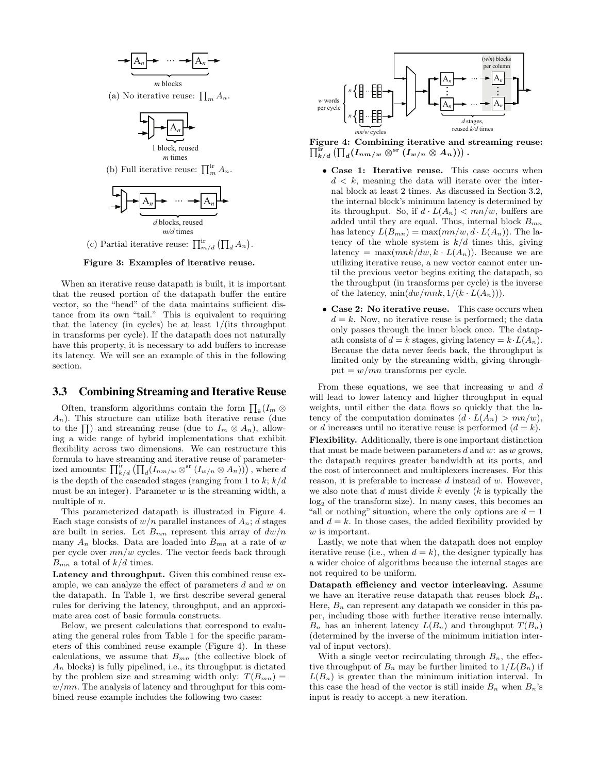$$
\begin{array}{c}\n\hline\n-\text{A}_n & \cdots & -\text{A}_n \\
\hline\n\text{m blocks}\n\end{array}
$$

(a) No iterative reuse:  $\prod_{m} A_n$ .



*m* times

(b) Full iterative reuse:  $\prod_{m}^{\text{ir}} A_n$ .



(c) Partial iterative reuse:  $\prod_{m/d}^{\text{ir}} (\prod_d A_n)$ .

Figure 3: Examples of iterative reuse.

When an iterative reuse datapath is built, it is important that the reused portion of the datapath buffer the entire vector, so the "head" of the data maintains sufficient distance from its own "tail." This is equivalent to requiring that the latency (in cycles) be at least 1/(its throughput in transforms per cycle). If the datapath does not naturally have this property, it is necessary to add buffers to increase its latency. We will see an example of this in the following section.

# **3.3 Combining Streaming and Iterative Reuse**

Often, transform algorithms contain the form  $\prod_k (I_m \otimes$  $A_n$ ). This structure can utilize both iterative reuse (due to the  $\prod$ ) and streaming reuse (due to  $I_m \otimes A_n$ ), allowing a wide range of hybrid implementations that exhibit flexibility across two dimensions. We can restructure this formula to have streaming and iterative reuse of parameterized amounts:  $\prod_{k/d}^{ir} (\prod_d (\overline{I}_{nm/w} \otimes_{st} (I_{w/n} \otimes A_n))$ , where  $d$ is the depth of the cascaded stages (ranging from 1 to  $k; k/d$ must be an integer). Parameter  $w$  is the streaming width, a multiple of  $n$ .

This parameterized datapath is illustrated in Figure 4. Each stage consists of  $w/n$  parallel instances of  $A_n$ ; d stages are built in series. Let  $B_{mn}$  represent this array of  $dw/n$ many  $A_n$  blocks. Data are loaded into  $B_{mn}$  at a rate of w per cycle over  $mn/w$  cycles. The vector feeds back through  $B_{mn}$  a total of  $k/d$  times.

Latency and throughput. Given this combined reuse example, we can analyze the effect of parameters d and w on the datapath. In Table 1, we first describe several general rules for deriving the latency, throughput, and an approximate area cost of basic formula constructs.

Below, we present calculations that correspond to evaluating the general rules from Table 1 for the specific parameters of this combined reuse example (Figure 4). In these calculations, we assume that  $B_{mn}$  (the collective block of  $A_n$  blocks) is fully pipelined, i.e., its throughput is dictated by the problem size and streaming width only:  $T(B_{mn}) =$  $w/mn$ . The analysis of latency and throughput for this combined reuse example includes the following two cases:



Figure 4: Combining iterative and streaming reuse:<br> $\prod_{k/d}^{\mathrm{ir}}\left(\prod_d (I_{n\,/w}\otimes^{\mathrm{sr}}(I_{w/n}\otimes A_n))\right).$ 

- Case 1: Iterative reuse. This case occurs when  $d < k$ , meaning the data will iterate over the internal block at least 2 times. As discussed in Section 3.2, the internal block's minimum latency is determined by its throughput. So, if  $d \cdot L(A_n) < mn/w$ , buffers are added until they are equal. Thus, internal block  $B_{mn}$ has latency  $L(B_{mn}) = \max(mn/w, d \cdot L(A_n))$ . The latency of the whole system is  $k/d$  times this, giving latency = max $(mnk/dw, k \cdot L(A_n))$ . Because we are utilizing iterative reuse, a new vector cannot enter until the previous vector begins exiting the datapath, so the throughput (in transforms per cycle) is the inverse of the latency,  $\min(dw/mnk, 1/(k \cdot L(A_n)))$ .
- Case 2: No iterative reuse. This case occurs when  $d = k$ . Now, no iterative reuse is performed; the data only passes through the inner block once. The datapath consists of  $d = k$  stages, giving latency  $= k \cdot L(A_n)$ . Because the data never feeds back, the throughput is limited only by the streaming width, giving throughput =  $w/mn$  transforms per cycle.

From these equations, we see that increasing  $w$  and  $d$ will lead to lower latency and higher throughput in equal weights, until either the data flows so quickly that the latency of the computation dominates  $(d \cdot L(A_n) > mn/w)$ , or d increases until no iterative reuse is performed  $(d = k)$ . Flexibility. Additionally, there is one important distinction that must be made between parameters  $d$  and  $w$ : as  $w$  grows, the datapath requires greater bandwidth at its ports, and the cost of interconnect and multiplexers increases. For this reason, it is preferable to increase d instead of w. However, we also note that  $d$  must divide  $k$  evenly  $(k$  is typically the  $log<sub>2</sub>$  of the transform size). In many cases, this becomes an "all or nothing" situation, where the only options are  $d = 1$ and  $d = k$ . In those cases, the added flexibility provided by w is important.

Lastly, we note that when the datapath does not employ iterative reuse (i.e., when  $d = k$ ), the designer typically has a wider choice of algorithms because the internal stages are not required to be uniform.

Datapath efficiency and vector interleaving. Assume we have an iterative reuse datapath that reuses block  $B_n$ . Here,  $B_n$  can represent any datapath we consider in this paper, including those with further iterative reuse internally.  $B_n$  has an inherent latency  $L(B_n)$  and throughput  $T(B_n)$ (determined by the inverse of the minimum initiation interval of input vectors).

With a single vector recirculating through  $B_n$ , the effective throughput of  $B_n$  may be further limited to  $1/L(B_n)$  if  $L(B_n)$  is greater than the minimum initiation interval. In this case the head of the vector is still inside  $B_n$  when  $B_n$ 's input is ready to accept a new iteration.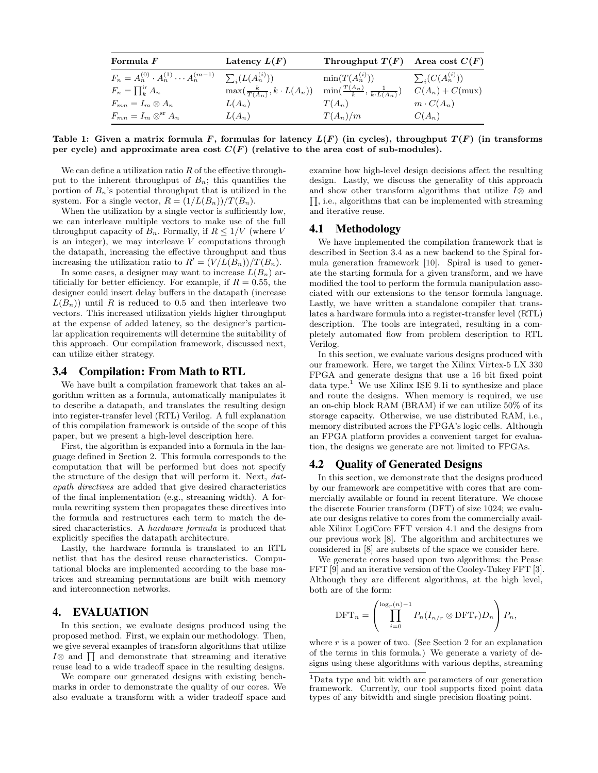| Formula $F$                                                                | Latency $L(F)$                           | Throughput $T(F)$ Area cost $C(F)$                 |                         |
|----------------------------------------------------------------------------|------------------------------------------|----------------------------------------------------|-------------------------|
| $F_n = A_n^{(0)} \cdot A_n^{(1)} \cdots A_n^{(m-1)} \sum_i (L(A_n^{(i)}))$ |                                          | $\min(T(A_n^{(i)}))$                               | $\sum_i (C(A_n^{(i)}))$ |
| $F_n = \prod_k^{\rm ir} A_n$                                               | $\max(\frac{k}{T(A_n)}, k \cdot L(A_n))$ | $\min(\frac{T(A_n)}{k}, \frac{1}{k \cdot L(A_n)})$ | $C(A_n) + C(mux)$       |
| $F_{mn} = I_m \otimes A_n$                                                 | $L(A_n)$                                 | $T(A_n)$                                           | $m \cdot C(A_n)$        |
| $F_{mn} = I_m \otimes^{\rm sr} A_n$                                        | $L(A_n)$                                 | $T(A_n)/m$                                         | $C(A_n)$                |

Table 1: Given a matrix formula F, formulas for latency  $L(F)$  (in cycles), throughput  $T(F)$  (in transforms per cycle) and approximate area cost  $C(F)$  (relative to the area cost of sub-modules).

We can define a utilization ratio  $R$  of the effective throughput to the inherent throughput of  $B_n$ ; this quantifies the portion of  $B_n$ 's potential throughput that is utilized in the system. For a single vector,  $R = (1/L(B_n))/T(B_n)$ .

When the utilization by a single vector is sufficiently low, we can interleave multiple vectors to make use of the full throughput capacity of  $B_n$ . Formally, if  $R \leq 1/V$  (where V is an integer), we may interleave  $V$  computations through the datapath, increasing the effective throughput and thus increasing the utilization ratio to  $R' = (V/L(B_n))/T(B_n)$ .

In some cases, a designer may want to increase  $L(B_n)$  artificially for better efficiency. For example, if  $R = 0.55$ , the designer could insert delay buffers in the datapath (increase  $L(B_n)$ ) until R is reduced to 0.5 and then interleave two vectors. This increased utilization yields higher throughput at the expense of added latency, so the designer's particular application requirements will determine the suitability of this approach. Our compilation framework, discussed next, can utilize either strategy.

## **3.4 Compilation: From Math to RTL**

We have built a compilation framework that takes an algorithm written as a formula, automatically manipulates it to describe a datapath, and translates the resulting design into register-transfer level (RTL) Verilog. A full explanation of this compilation framework is outside of the scope of this paper, but we present a high-level description here.

First, the algorithm is expanded into a formula in the language defined in Section 2. This formula corresponds to the computation that will be performed but does not specify the structure of the design that will perform it. Next, datapath directives are added that give desired characteristics of the final implementation (e.g., streaming width). A formula rewriting system then propagates these directives into the formula and restructures each term to match the desired characteristics. A hardware formula is produced that explicitly specifies the datapath architecture.

Lastly, the hardware formula is translated to an RTL netlist that has the desired reuse characteristics. Computational blocks are implemented according to the base matrices and streaming permutations are built with memory and interconnection networks.

## **4. EVALUATION**

In this section, we evaluate designs produced using the proposed method. First, we explain our methodology. Then, we give several examples of transform algorithms that utilize  $I\otimes$  and  $\prod$  and demonstrate that streaming and iterative reuse lead to a wide tradeoff space in the resulting designs.

We compare our generated designs with existing benchmarks in order to demonstrate the quality of our cores. We also evaluate a transform with a wider tradeoff space and examine how high-level design decisions affect the resulting design. Lastly, we discuss the generality of this approach and show other transform algorithms that utilize  $I\otimes$  and  $\Pi$ , i.e., algorithms that can be implemented with streaming and iterative reuse.

#### **4.1 Methodology**

We have implemented the compilation framework that is described in Section 3.4 as a new backend to the Spiral formula generation framework [10]. Spiral is used to generate the starting formula for a given transform, and we have modified the tool to perform the formula manipulation associated with our extensions to the tensor formula language. Lastly, we have written a standalone compiler that translates a hardware formula into a register-transfer level (RTL) description. The tools are integrated, resulting in a completely automated flow from problem description to RTL Verilog.

In this section, we evaluate various designs produced with our framework. Here, we target the Xilinx Virtex-5 LX 330 FPGA and generate designs that use a 16 bit fixed point data type.<sup>1</sup> We use Xilinx ISE 9.1i to synthesize and place and route the designs. When memory is required, we use an on-chip block RAM (BRAM) if we can utilize 50% of its storage capacity. Otherwise, we use distributed RAM, i.e., memory distributed across the FPGA's logic cells. Although an FPGA platform provides a convenient target for evaluation, the designs we generate are not limited to FPGAs.

# **4.2 Quality of Generated Designs**

In this section, we demonstrate that the designs produced by our framework are competitive with cores that are commercially available or found in recent literature. We choose the discrete Fourier transform (DFT) of size 1024; we evaluate our designs relative to cores from the commercially available Xilinx LogiCore FFT version 4.1 and the designs from our previous work [8]. The algorithm and architectures we considered in [8] are subsets of the space we consider here.

We generate cores based upon two algorithms: the Pease FFT [9] and an iterative version of the Cooley-Tukey FFT [3]. Although they are different algorithms, at the high level, both are of the form:

$$
\text{DFT}_n = \left( \prod_{i=0}^{\log_r(n)-1} P_n(I_{n/r} \otimes \text{DFT}_r) D_n \right) P_n,
$$

where  $r$  is a power of two. (See Section 2 for an explanation of the terms in this formula.) We generate a variety of designs using these algorithms with various depths, streaming

<sup>1</sup>Data type and bit width are parameters of our generation framework. Currently, our tool supports fixed point data types of any bitwidth and single precision floating point.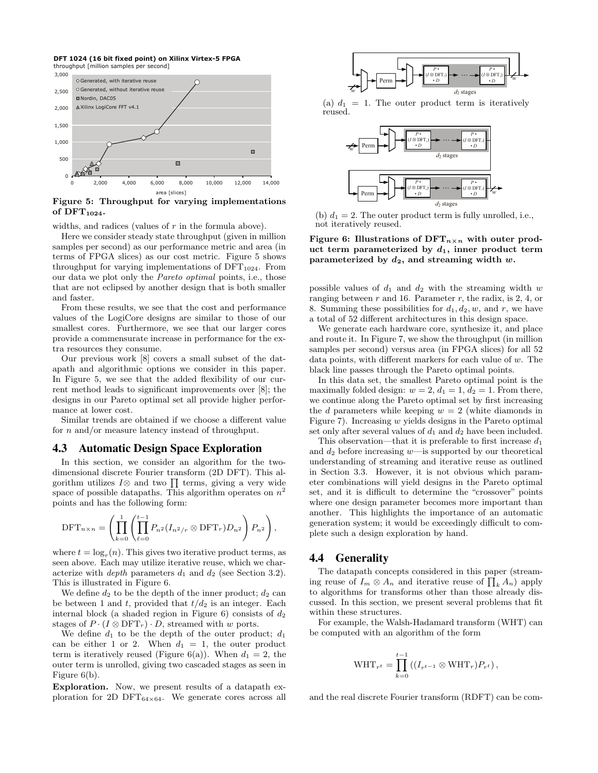**DFT 1024 (16 bit fixed point) on Xilinx Virtex-5 FPGA** throughput [million samples per second]



Figure 5: Throughput for varying implementations of  $DFT_{1024}$ .

widths, and radices (values of  $r$  in the formula above).

Here we consider steady state throughput (given in million samples per second) as our performance metric and area (in terms of FPGA slices) as our cost metric. Figure 5 shows throughput for varying implementations of  $DFT_{1024}$ . From our data we plot only the Pareto optimal points, i.e., those that are not eclipsed by another design that is both smaller and faster.

From these results, we see that the cost and performance values of the LogiCore designs are similar to those of our smallest cores. Furthermore, we see that our larger cores provide a commensurate increase in performance for the extra resources they consume.

Our previous work [8] covers a small subset of the datapath and algorithmic options we consider in this paper. In Figure 5, we see that the added flexibility of our current method leads to significant improvements over [8]; the designs in our Pareto optimal set all provide higher performance at lower cost.

Similar trends are obtained if we choose a different value for n and/or measure latency instead of throughput.

#### **4.3 Automatic Design Space Exploration**

In this section, we consider an algorithm for the twodimensional discrete Fourier transform (2D DFT). This algorithm utilizes  $I\otimes$  and two  $\prod$  terms, giving a very wide space of possible datapaths. This algorithm operates on  $n^2$ points and has the following form:

$$
\text{DFT}_{n\times n} = \left(\prod_{k=0}^{1} \left(\prod_{\ell=0}^{t-1} P_{n^2} (I_{n^2/r} \otimes \text{DFT}_r) D_{n^2}\right) P_{n^2}\right),
$$

where  $t = \log_r(n)$ . This gives two iterative product terms, as seen above. Each may utilize iterative reuse, which we characterize with *depth* parameters  $d_1$  and  $d_2$  (see Section 3.2). This is illustrated in Figure 6.

We define  $d_2$  to be the depth of the inner product;  $d_2$  can be between 1 and t, provided that  $t/d_2$  is an integer. Each internal block (a shaded region in Figure 6) consists of  $d_2$ stages of  $P \cdot (I \otimes DFT_r) \cdot D$ , streamed with w ports.

We define  $d_1$  to be the depth of the outer product;  $d_1$ can be either 1 or 2. When  $d_1 = 1$ , the outer product term is iteratively reused (Figure 6(a)). When  $d_1 = 2$ , the outer term is unrolled, giving two cascaded stages as seen in Figure 6(b).

Exploration. Now, we present results of a datapath exploration for 2D DFT $_{64\times64}$ . We generate cores across all



(a)  $d_1 = 1$ . The outer product term is iteratively reused.



(b)  $d_1 = 2$ . The outer product term is fully unrolled, i.e., not iteratively reused.

Figure 6: Illustrations of  $DFT_{n\times n}$  with outer product term parameterized by  $d_1$ , inner product term parameterized by  $d_2$ , and streaming width w.

possible values of  $d_1$  and  $d_2$  with the streaming width w ranging between  $r$  and 16. Parameter  $r$ , the radix, is 2, 4, or 8. Summing these possibilities for  $d_1, d_2, w$ , and r, we have a total of 52 different architectures in this design space.

We generate each hardware core, synthesize it, and place and route it. In Figure 7, we show the throughput (in million samples per second) versus area (in FPGA slices) for all 52 data points, with different markers for each value of  $w$ . The black line passes through the Pareto optimal points.

In this data set, the smallest Pareto optimal point is the maximally folded design:  $w = 2$ ,  $d_1 = 1$ ,  $d_2 = 1$ . From there, we continue along the Pareto optimal set by first increasing the  $d$  parameters while keeping  $w = 2$  (white diamonds in Figure 7). Increasing  $w$  yields designs in the Pareto optimal set only after several values of  $d_1$  and  $d_2$  have been included.

This observation—that it is preferable to first increase  $d_1$ and  $d_2$  before increasing  $w$ —is supported by our theoretical understanding of streaming and iterative reuse as outlined in Section 3.3. However, it is not obvious which parameter combinations will yield designs in the Pareto optimal set, and it is difficult to determine the "crossover" points where one design parameter becomes more important than another. This highlights the importance of an automatic generation system; it would be exceedingly difficult to complete such a design exploration by hand.

#### **4.4 Generality**

The datapath concepts considered in this paper (streaming reuse of  $I_m \otimes A_n$  and iterative reuse of  $\prod_k A_n$ ) apply to algorithms for transforms other than those already discussed. In this section, we present several problems that fit within these structures.

For example, the Walsh-Hadamard transform (WHT) can be computed with an algorithm of the form

$$
\text{WHT}_{r^t} = \prod_{k=0}^{t-1} \left( (I_{r^{t-1}} \otimes \text{WHT}_r) P_{r^t} \right),
$$

and the real discrete Fourier transform (RDFT) can be com-